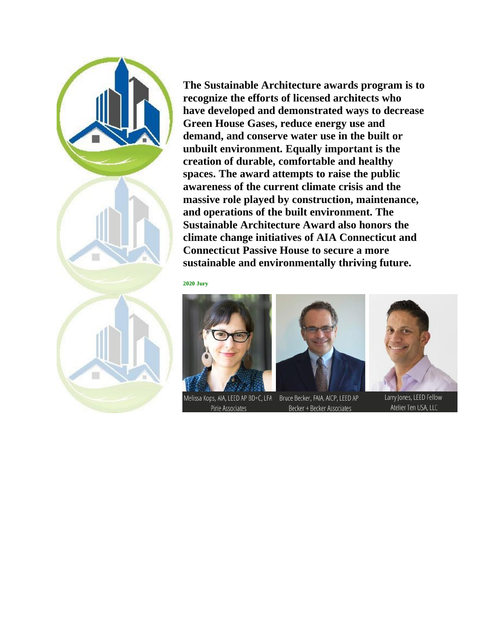

**The Sustainable Architecture awards program is to recognize the efforts of licensed architects who have developed and demonstrated ways to decrease Green House Gases, reduce energy use and demand, and conserve water use in the built or unbuilt environment. Equally important is the creation of durable, comfortable and healthy spaces. The award attempts to raise the public awareness of the current climate crisis and the massive role played by construction, maintenance, and operations of the built environment. The Sustainable Architecture Award also honors the climate change initiatives of AIA Connecticut and Connecticut Passive House to secure a more sustainable and environmentally thriving future.**

**2020 Jury**







Melissa Kops, AIA, LEED AP BD+C, LFA Bruce Becker, FAIA, AICP, LEED AP Becker + Becker Associates



Larry Jones, LEED Fellow Atelier Ten USA, LLC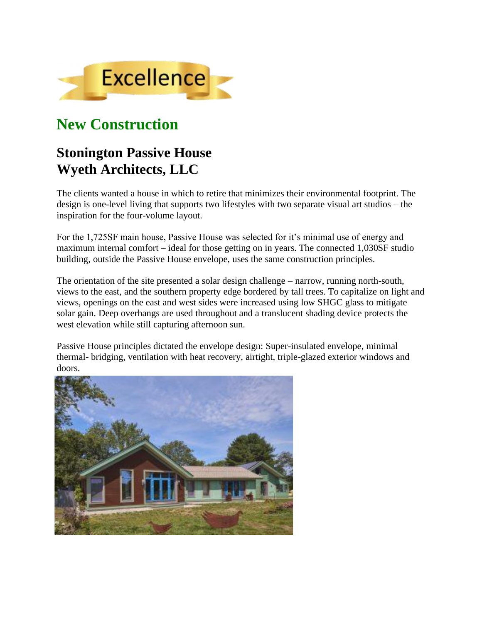

# **New Construction**

### **Stonington Passive House Wyeth Architects, LLC**

The clients wanted a house in which to retire that minimizes their environmental footprint. The design is one-level living that supports two lifestyles with two separate visual art studios – the inspiration for the four-volume layout.

For the 1,725SF main house, Passive House was selected for it's minimal use of energy and maximum internal comfort – ideal for those getting on in years. The connected 1,030SF studio building, outside the Passive House envelope, uses the same construction principles.

The orientation of the site presented a solar design challenge – narrow, running north-south, views to the east, and the southern property edge bordered by tall trees. To capitalize on light and views, openings on the east and west sides were increased using low SHGC glass to mitigate solar gain. Deep overhangs are used throughout and a translucent shading device protects the west elevation while still capturing afternoon sun.

Passive House principles dictated the envelope design: Super-insulated envelope, minimal thermal- bridging, ventilation with heat recovery, airtight, triple-glazed exterior windows and doors.

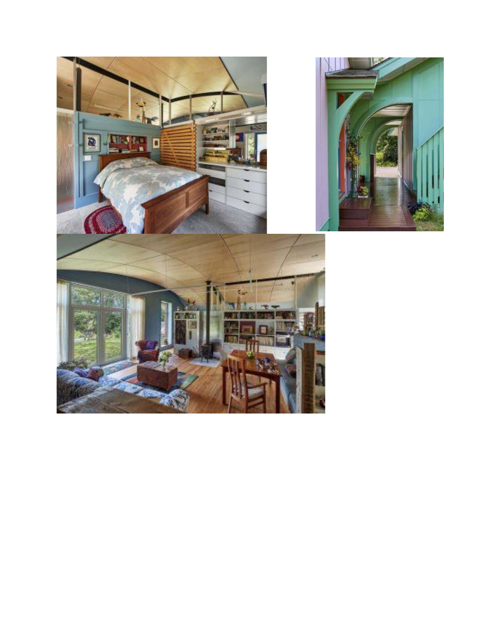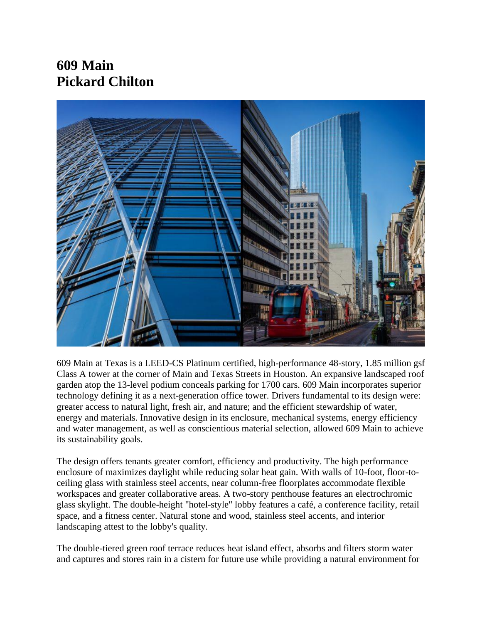## **609 Main Pickard Chilton**



609 Main at Texas is a LEED-CS Platinum certified, high-performance 48-story, 1.85 million gsf Class A tower at the corner of Main and Texas Streets in Houston. An expansive landscaped roof garden atop the 13-level podium conceals parking for 1700 cars. 609 Main incorporates superior technology defining it as a next-generation office tower. Drivers fundamental to its design were: greater access to natural light, fresh air, and nature; and the efficient stewardship of water, energy and materials. Innovative design in its enclosure, mechanical systems, energy efficiency and water management, as well as conscientious material selection, allowed 609 Main to achieve its sustainability goals.

The design offers tenants greater comfort, efficiency and productivity. The high performance enclosure of maximizes daylight while reducing solar heat gain. With walls of 10-foot, floor-toceiling glass with stainless steel accents, near column-free floorplates accommodate flexible workspaces and greater collaborative areas. A two-story penthouse features an electrochromic glass skylight. The double-height "hotel-style" lobby features a café, a conference facility, retail space, and a fitness center. Natural stone and wood, stainless steel accents, and interior landscaping attest to the lobby's quality.

The double-tiered green roof terrace reduces heat island effect, absorbs and filters storm water and captures and stores rain in a cistern for future use while providing a natural environment for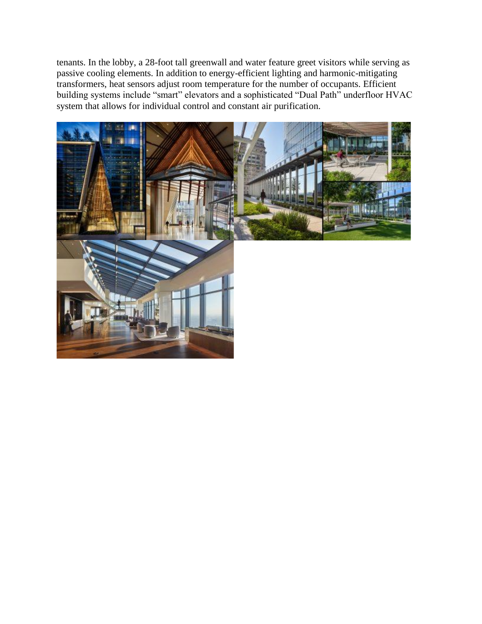tenants. In the lobby, a 28-foot tall greenwall and water feature greet visitors while serving as passive cooling elements. In addition to energy-efficient lighting and harmonic-mitigating transformers, heat sensors adjust room temperature for the number of occupants. Efficient building systems include "smart" elevators and a sophisticated "Dual Path" underfloor HVAC system that allows for individual control and constant air purification.

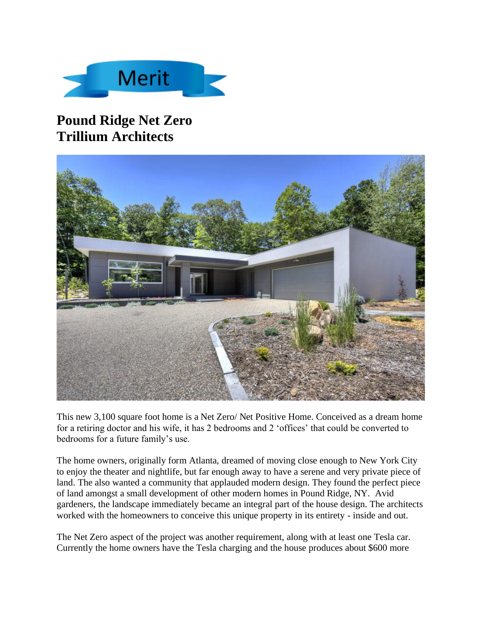

### **Pound Ridge Net Zero Trillium Architects**



This new 3,100 square foot home is a Net Zero/ Net Positive Home. Conceived as a dream home for a retiring doctor and his wife, it has 2 bedrooms and 2 'offices' that could be converted to bedrooms for a future family's use.

The home owners, originally form Atlanta, dreamed of moving close enough to New York City to enjoy the theater and nightlife, but far enough away to have a serene and very private piece of land. The also wanted a community that applauded modern design. They found the perfect piece of land amongst a small development of other modern homes in Pound Ridge, NY. Avid gardeners, the landscape immediately became an integral part of the house design. The architects worked with the homeowners to conceive this unique property in its entirety - inside and out.

The Net Zero aspect of the project was another requirement, along with at least one Tesla car. Currently the home owners have the Tesla charging and the house produces about \$600 more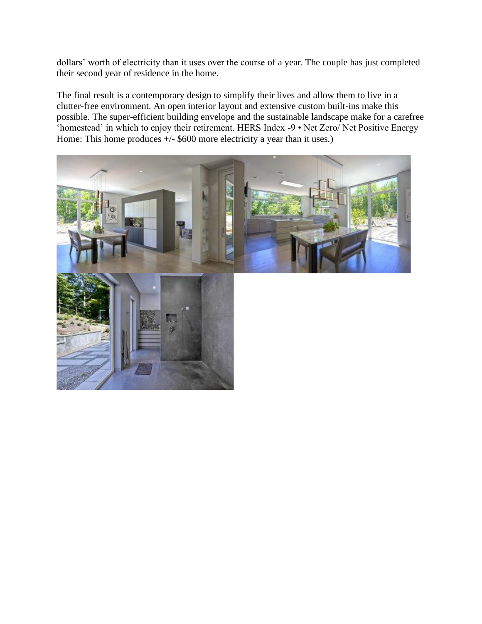dollars' worth of electricity than it uses over the course of a year. The couple has just completed their second year of residence in the home.

The final result is a contemporary design to simplify their lives and allow them to live in a clutter-free environment. An open interior layout and extensive custom built-ins make this possible. The super-efficient building envelope and the sustainable landscape make for a carefree 'homestead' in which to enjoy their retirement. HERS Index -9 • Net Zero/ Net Positive Energy Home: This home produces  $+\prime$ - \$600 more electricity a year than it uses.)

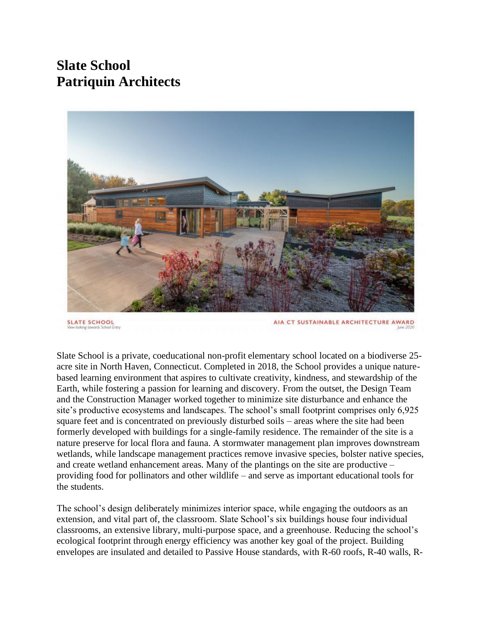#### **Slate School Patriquin Architects**



**SLATE SCHOOL** 

AIA CT SUSTAINABLE ARCHITECTURE AWARD

Slate School is a private, coeducational non-profit elementary school located on a biodiverse 25 acre site in North Haven, Connecticut. Completed in 2018, the School provides a unique naturebased learning environment that aspires to cultivate creativity, kindness, and stewardship of the Earth, while fostering a passion for learning and discovery. From the outset, the Design Team and the Construction Manager worked together to minimize site disturbance and enhance the site's productive ecosystems and landscapes. The school's small footprint comprises only 6,925 square feet and is concentrated on previously disturbed soils – areas where the site had been formerly developed with buildings for a single-family residence. The remainder of the site is a nature preserve for local flora and fauna. A stormwater management plan improves downstream wetlands, while landscape management practices remove invasive species, bolster native species, and create wetland enhancement areas. Many of the plantings on the site are productive – providing food for pollinators and other wildlife – and serve as important educational tools for the students.

The school's design deliberately minimizes interior space, while engaging the outdoors as an extension, and vital part of, the classroom. Slate School's six buildings house four individual classrooms, an extensive library, multi-purpose space, and a greenhouse. Reducing the school's ecological footprint through energy efficiency was another key goal of the project. Building envelopes are insulated and detailed to Passive House standards, with R-60 roofs, R-40 walls, R-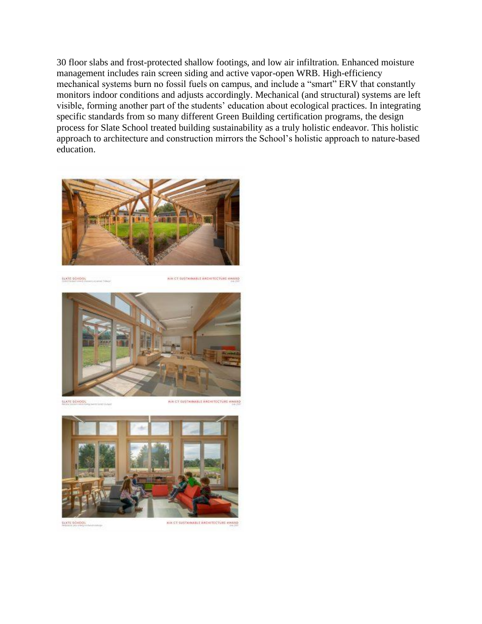30 floor slabs and frost-protected shallow footings, and low air infiltration. Enhanced moisture management includes rain screen siding and active vapor-open WRB. High-efficiency mechanical systems burn no fossil fuels on campus, and include a "smart" ERV that constantly monitors indoor conditions and adjusts accordingly. Mechanical (and structural) systems are left visible, forming another part of the students' education about ecological practices. In integrating specific standards from so many different Green Building certification programs, the design process for Slate School treated building sustainability as a truly holistic endeavor. This holistic approach to architecture and construction mirrors the School's holistic approach to nature-based education.



SLATE SCHOOL

KIK CT SUSTAINABLE ARCHITECTURE AWARD



SLATE SCHOOL

AIK CT SUSTAINABLE ARCHITECTURE AWARD



SLATE SCHOOL

**WALCE SUSTAINALE ARCHITECTURE AWARD**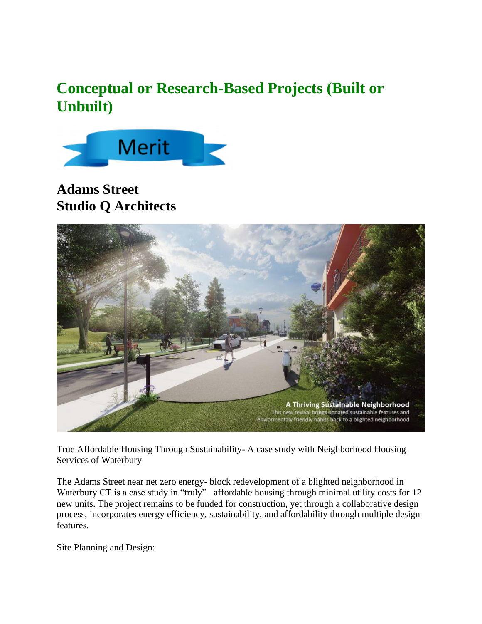# **Conceptual or Research-Based Projects (Built or Unbuilt)**



### **Adams Street Studio Q Architects**



True Affordable Housing Through Sustainability- A case study with Neighborhood Housing Services of Waterbury

The Adams Street near net zero energy- block redevelopment of a blighted neighborhood in Waterbury CT is a case study in "truly" –affordable housing through minimal utility costs for 12 new units. The project remains to be funded for construction, yet through a collaborative design process, incorporates energy efficiency, sustainability, and affordability through multiple design features.

Site Planning and Design: